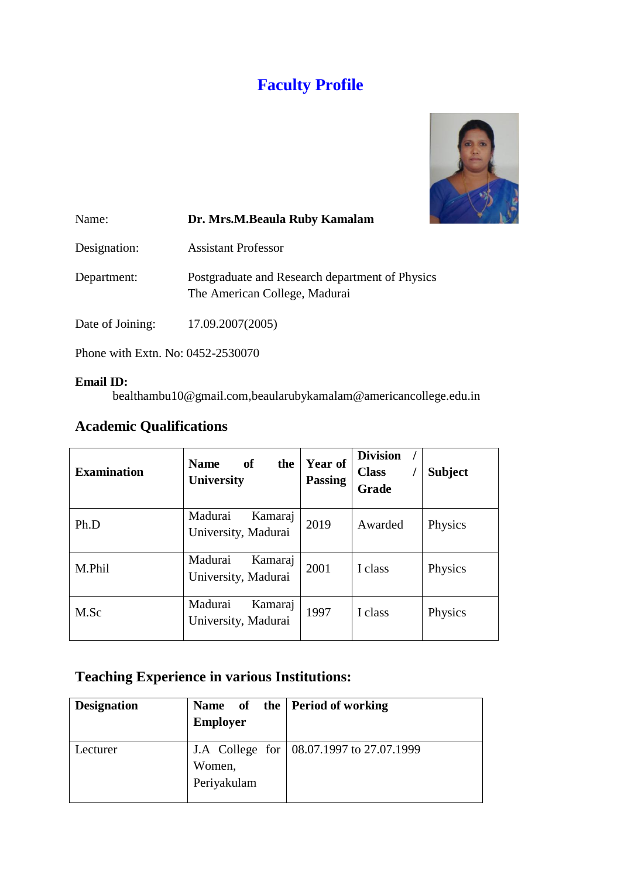# **Faculty Profile**



| Name:            | Dr. Mrs.M.Beaula Ruby Kamalam                                                    |
|------------------|----------------------------------------------------------------------------------|
| Designation:     | <b>Assistant Professor</b>                                                       |
| Department:      | Postgraduate and Research department of Physics<br>The American College, Madurai |
| Date of Joining: | 17.09.2007(2005)                                                                 |
|                  |                                                                                  |

Phone with Extn. No: 0452-2530070

#### **Email ID:**

bealthambu10@gmail.com,beaularubykamalam@americancollege.edu.in

### **Academic Qualifications**

| <b>Examination</b> | of<br>the<br><b>Name</b><br>University    | Year of<br><b>Passing</b> | <b>Division</b><br><b>Class</b><br><b>Grade</b> | <b>Subject</b> |
|--------------------|-------------------------------------------|---------------------------|-------------------------------------------------|----------------|
| Ph.D               | Madurai<br>Kamaraj<br>University, Madurai | 2019                      | Awarded                                         | Physics        |
| M.Phil             | Madurai<br>Kamaraj<br>University, Madurai | 2001                      | I class                                         | Physics        |
| M.Sc               | Madurai<br>Kamaraj<br>University, Madurai | 1997                      | I class                                         | Physics        |

## **Teaching Experience in various Institutions:**

| <b>Designation</b> | <b>Employer</b>       | Name of the Period of working              |
|--------------------|-----------------------|--------------------------------------------|
| Lecturer           | Women,<br>Periyakulam | J.A College for   08.07.1997 to 27.07.1999 |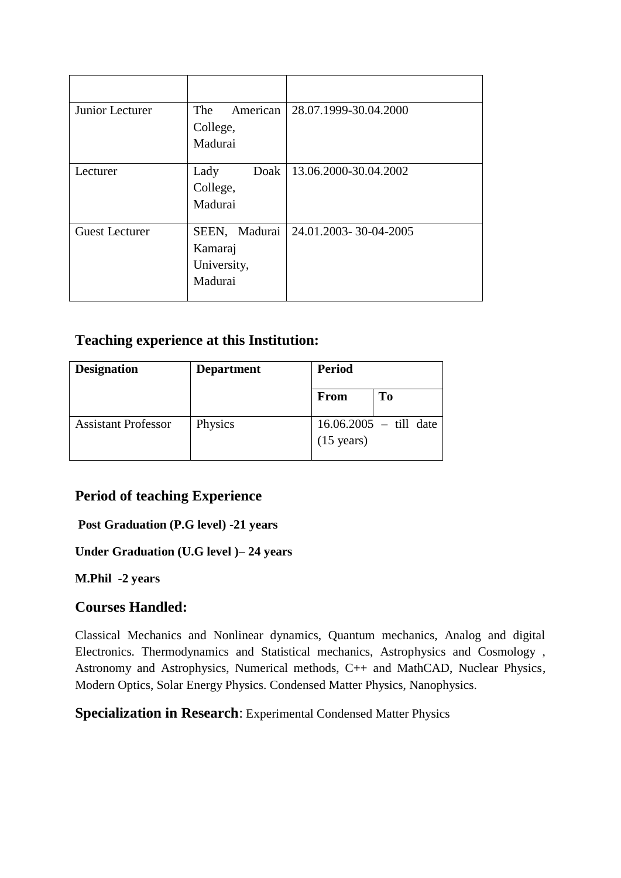| Junior Lecturer       | American<br>The<br>College,<br>Madurai             | 28.07.1999-30.04.2000 |
|-----------------------|----------------------------------------------------|-----------------------|
|                       |                                                    |                       |
| Lecturer              | Doak<br>Lady<br>College,<br>Madurai                | 13.06.2000-30.04.2002 |
| <b>Guest Lecturer</b> | SEEN, Madurai<br>Kamaraj<br>University,<br>Madurai | 24.01.2003-30-04-2005 |

### **Teaching experience at this Institution:**

| <b>Designation</b>         | <b>Department</b> | <b>Period</b>        |                                  |
|----------------------------|-------------------|----------------------|----------------------------------|
|                            |                   | From                 | To                               |
| <b>Assistant Professor</b> | Physics           | $(15 \text{ years})$ | $16.06.2005 - \text{ till date}$ |

### **Period of teaching Experience**

#### **Post Graduation (P.G level) -21 years**

#### **Under Graduation (U.G level )– 24 years**

#### **M.Phil -2 years**

### **Courses Handled:**

Classical Mechanics and Nonlinear dynamics, Quantum mechanics, Analog and digital Electronics. Thermodynamics and Statistical mechanics, Astrophysics and Cosmology , Astronomy and Astrophysics, Numerical methods, C++ and MathCAD, Nuclear Physics, Modern Optics, Solar Energy Physics. Condensed Matter Physics, Nanophysics.

**Specialization in Research**: Experimental Condensed Matter Physics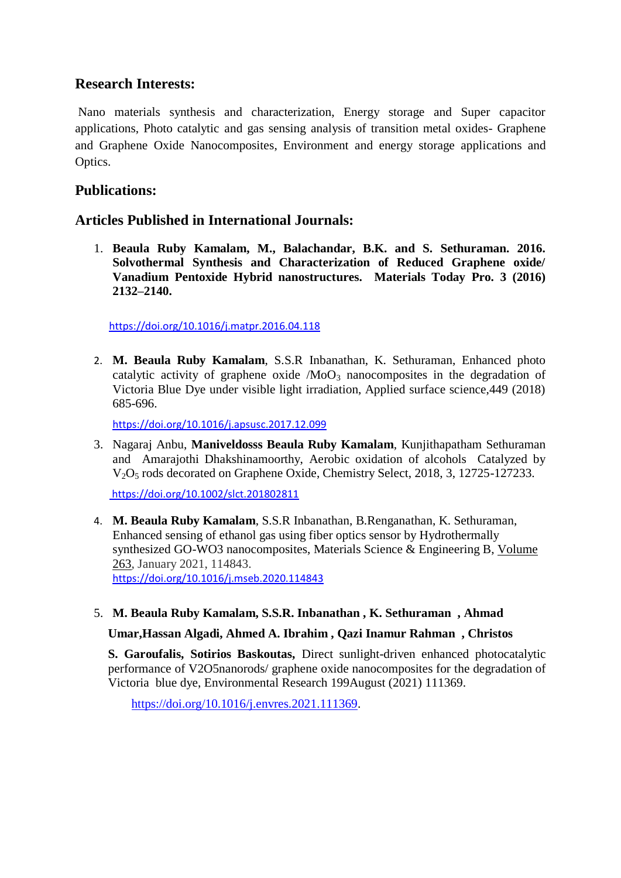### **Research Interests:**

Nano materials synthesis and characterization, Energy storage and Super capacitor applications, Photo catalytic and gas sensing analysis of transition metal oxides- Graphene and Graphene Oxide Nanocomposites, Environment and energy storage applications and Optics.

### **Publications:**

### **Articles Published in International Journals:**

1. **Beaula Ruby Kamalam, M., Balachandar, B.K. and S. Sethuraman. 2016. Solvothermal Synthesis and Characterization of Reduced Graphene oxide/ Vanadium Pentoxide Hybrid nanostructures. Materials Today Pro. 3 (2016) 2132–2140.**

<https://doi.org/10.1016/j.matpr.2016.04.118>

2. **M. Beaula Ruby Kamalam**, S.S.R Inbanathan, K. Sethuraman, Enhanced photo catalytic activity of graphene oxide  $/M_0O_3$  nanocomposites in the degradation of Victoria Blue Dye under visible light irradiation, Applied surface science,449 (2018) 685-696.

<https://doi.org/10.1016/j.apsusc.2017.12.099>

3. Nagaraj Anbu, **Maniveldosss Beaula Ruby Kamalam**, Kunjithapatham Sethuraman and Amarajothi Dhakshinamoorthy, Aerobic oxidation of alcohols Catalyzed by V<sub>2</sub>O<sub>5</sub> rods decorated on Graphene Oxide, Chemistry Select, 2018, 3, 12725-127233.

<https://doi.org/10.1002/slct.201802811>

- 4. **M. Beaula Ruby Kamalam**, S.S.R Inbanathan, B.Renganathan, K. Sethuraman, Enhanced sensing of ethanol gas using fiber optics sensor by Hydrothermally synthesized GO-WO3 nanocomposites, Materials Science & Engineering B, [Volume](https://www.sciencedirect.com/science/journal/09215107/263/supp/C)  [263,](https://www.sciencedirect.com/science/journal/09215107/263/supp/C) January 2021, 114843. <https://doi.org/10.1016/j.mseb.2020.114843>
- 5. **M. Beaula Ruby Kamalam, S.S.R. Inbanathan , K. Sethuraman , Ahmad**

#### **Umar,Hassan Algadi, Ahmed A. Ibrahim , Qazi Inamur Rahman , Christos**

 **S. Garoufalis, Sotirios Baskoutas,** Direct sunlight-driven enhanced photocatalytic performance of V2O5nanorods/ graphene oxide nanocomposites for the degradation of Victoria blue dye, Environmental Research 199August (2021) 111369.

[https://doi.org/10.1016/j.envres.2021.111369.](https://doi.org/10.1016/j.envres.2021.111369)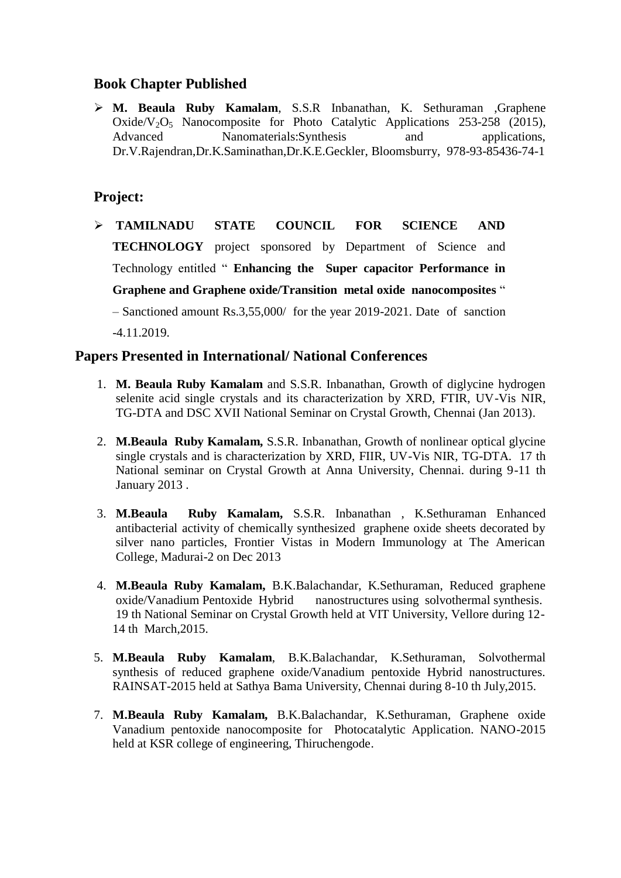#### **Book Chapter Published**

 **M. Beaula Ruby Kamalam**, S.S.R Inbanathan, K. Sethuraman ,Graphene Oxide/V<sub>2</sub>O<sub>5</sub> Nanocomposite for Photo Catalytic Applications 253-258 (2015), Advanced Nanomaterials:Synthesis and applications, Dr.V.Rajendran,Dr.K.Saminathan,Dr.K.E.Geckler, Bloomsburry, 978-93-85436-74-1

### **Project:**

 **TAMILNADU STATE COUNCIL FOR SCIENCE AND TECHNOLOGY** project sponsored by Department of Science and Technology entitled " **Enhancing the Super capacitor Performance in Graphene and Graphene oxide/Transition metal oxide nanocomposites** "

– Sanctioned amount Rs.3,55,000/ for the year 2019-2021. Date of sanction -4.11.2019.

#### **Papers Presented in International/ National Conferences**

- 1. **M. Beaula Ruby Kamalam** and S.S.R. Inbanathan, Growth of diglycine hydrogen selenite acid single crystals and its characterization by XRD, FTIR, UV-Vis NIR, TG-DTA and DSC XVII National Seminar on Crystal Growth, Chennai (Jan 2013).
- 2. **M.Beaula Ruby Kamalam,** S.S.R. Inbanathan, Growth of nonlinear optical glycine single crystals and is characterization by XRD, FIIR, UV-Vis NIR, TG-DTA. 17 th National seminar on Crystal Growth at Anna University, Chennai. during 9-11 th January 2013 .
- 3. **M.Beaula Ruby Kamalam,** S.S.R. Inbanathan , K.Sethuraman Enhanced antibacterial activity of chemically synthesized graphene oxide sheets decorated by silver nano particles, Frontier Vistas in Modern Immunology at The American College, Madurai-2 on Dec 2013
- 4. **M.Beaula Ruby Kamalam,** B.K.Balachandar, K.Sethuraman, Reduced graphene oxide/Vanadium Pentoxide Hybrid nanostructures using solvothermal synthesis. 19 th National Seminar on Crystal Growth held at VIT University, Vellore during 12- 14 th March,2015.
- 5. **M.Beaula Ruby Kamalam**, B.K.Balachandar, K.Sethuraman, Solvothermal synthesis of reduced graphene oxide/Vanadium pentoxide Hybrid nanostructures. RAINSAT-2015 held at Sathya Bama University, Chennai during 8-10 th July,2015.
- 7. **M.Beaula Ruby Kamalam,** B.K.Balachandar, K.Sethuraman, Graphene oxide Vanadium pentoxide nanocomposite for Photocatalytic Application. NANO-2015 held at KSR college of engineering, Thiruchengode.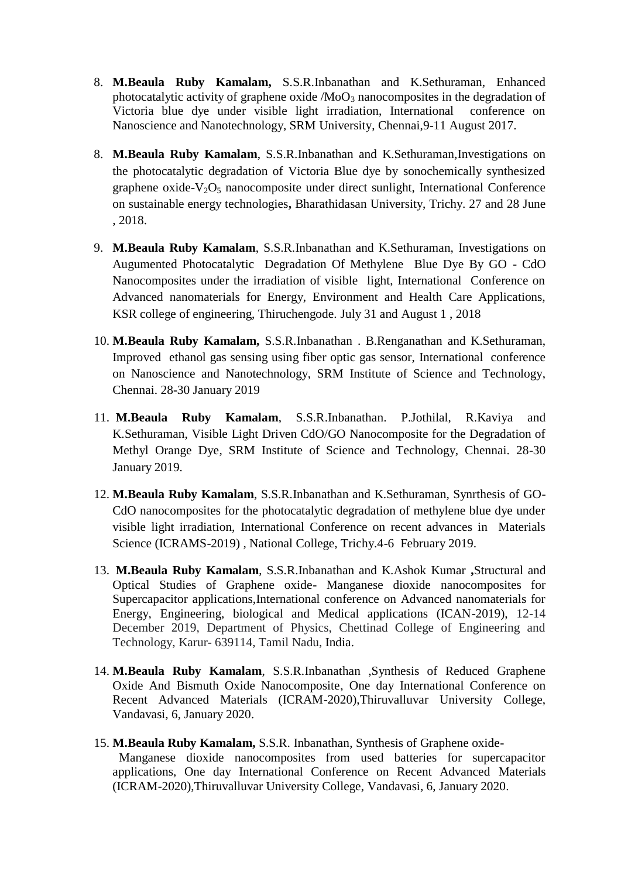- 8. **M.Beaula Ruby Kamalam,** S.S.R.Inbanathan and K.Sethuraman, Enhanced photocatalytic activity of graphene oxide  $/M_0O_3$  nanocomposites in the degradation of Victoria blue dye under visible light irradiation, International conference on Nanoscience and Nanotechnology, SRM University, Chennai,9-11 August 2017.
- 8. **M.Beaula Ruby Kamalam**, S.S.R.Inbanathan and K.Sethuraman,Investigations on the photocatalytic degradation of Victoria Blue dye by sonochemically synthesized graphene oxide- $V_2O_5$  nanocomposite under direct sunlight, International Conference on sustainable energy technologies**,** Bharathidasan University, Trichy. 27 and 28 June , 2018.
- 9. **M.Beaula Ruby Kamalam**, S.S.R.Inbanathan and K.Sethuraman, Investigations on Augumented Photocatalytic Degradation Of Methylene Blue Dye By GO - CdO Nanocomposites under the irradiation of visible light, International Conference on Advanced nanomaterials for Energy, Environment and Health Care Applications, KSR college of engineering, Thiruchengode. July 31 and August 1 , 2018
- 10. **M.Beaula Ruby Kamalam,** S.S.R.Inbanathan . B.Renganathan and K.Sethuraman, Improved ethanol gas sensing using fiber optic gas sensor, International conference on Nanoscience and Nanotechnology, SRM Institute of Science and Technology, Chennai. 28-30 January 2019
- 11. **M.Beaula Ruby Kamalam**, S.S.R.Inbanathan. P.Jothilal, R.Kaviya and K.Sethuraman, Visible Light Driven CdO/GO Nanocomposite for the Degradation of Methyl Orange Dye, SRM Institute of Science and Technology, Chennai. 28-30 January 2019.
- 12. **M.Beaula Ruby Kamalam**, S.S.R.Inbanathan and K.Sethuraman, Synrthesis of GO-CdO nanocomposites for the photocatalytic degradation of methylene blue dye under visible light irradiation, International Conference on recent advances in Materials Science (ICRAMS-2019) , National College, Trichy.4-6 February 2019.
- 13. **M.Beaula Ruby Kamalam**, S.S.R.Inbanathan and K.Ashok Kumar **,**Structural and Optical Studies of Graphene oxide- Manganese dioxide nanocomposites for Supercapacitor applications,International conference on Advanced nanomaterials for Energy, Engineering, biological and Medical applications (ICAN-2019), 12-14 December 2019, Department of Physics, Chettinad College of Engineering and Technology, Karur- 639114, Tamil Nadu, India.
- 14. **M.Beaula Ruby Kamalam**, S.S.R.Inbanathan ,Synthesis of Reduced Graphene Oxide And Bismuth Oxide Nanocomposite, One day International Conference on Recent Advanced Materials (ICRAM-2020),Thiruvalluvar University College, Vandavasi, 6, January 2020.
- 15. **M.Beaula Ruby Kamalam,** S.S.R. Inbanathan, Synthesis of Graphene oxide-

Manganese dioxide nanocomposites from used batteries for supercapacitor applications, One day International Conference on Recent Advanced Materials (ICRAM-2020),Thiruvalluvar University College, Vandavasi, 6, January 2020.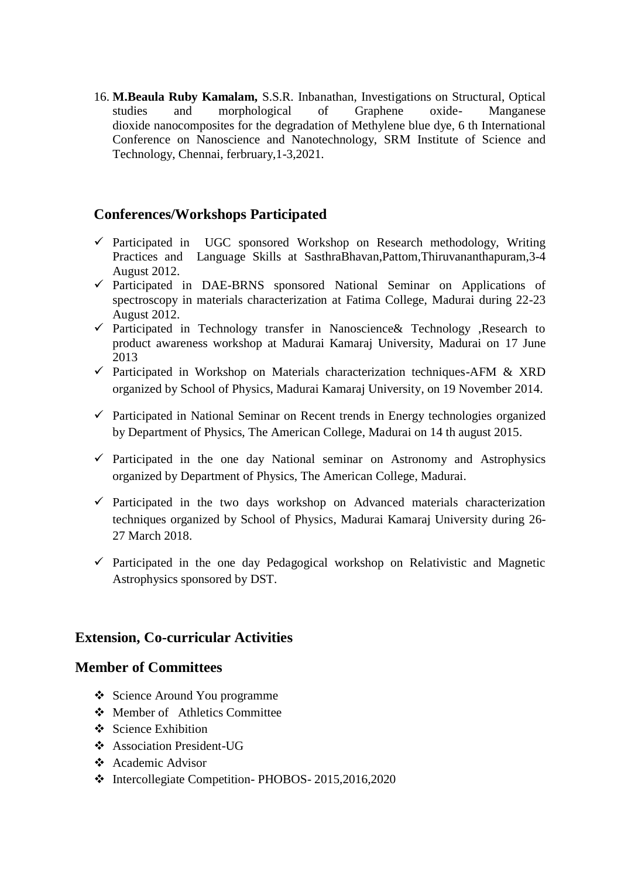16. **M.Beaula Ruby Kamalam,** S.S.R. Inbanathan, Investigations on Structural, Optical studies and morphological of Graphene oxide- Manganese dioxide nanocomposites for the degradation of Methylene blue dye, 6 th International Conference on Nanoscience and Nanotechnology, SRM Institute of Science and Technology, Chennai, ferbruary,1-3,2021.

### **Conferences/Workshops Participated**

- $\checkmark$  Participated in UGC sponsored Workshop on Research methodology, Writing Practices and Language Skills at SasthraBhavan,Pattom,Thiruvananthapuram,3-4 August 2012.
- $\checkmark$  Participated in DAE-BRNS sponsored National Seminar on Applications of spectroscopy in materials characterization at Fatima College, Madurai during 22-23 August 2012.
- $\checkmark$  Participated in Technology transfer in Nanoscience & Technology , Research to product awareness workshop at Madurai Kamaraj University, Madurai on 17 June 2013
- $\checkmark$  Participated in Workshop on Materials characterization techniques-AFM & XRD organized by School of Physics, Madurai Kamaraj University, on 19 November 2014.
- $\checkmark$  Participated in National Seminar on Recent trends in Energy technologies organized by Department of Physics, The American College, Madurai on 14 th august 2015.
- $\checkmark$  Participated in the one day National seminar on Astronomy and Astrophysics organized by Department of Physics, The American College, Madurai.
- $\checkmark$  Participated in the two days workshop on Advanced materials characterization techniques organized by School of Physics, Madurai Kamaraj University during 26- 27 March 2018.
- $\checkmark$  Participated in the one day Pedagogical workshop on Relativistic and Magnetic Astrophysics sponsored by DST.

#### **Extension, Co-curricular Activities**

#### **Member of Committees**

- ❖ Science Around You programme
- Member of Athletics Committee
- $\mathbf{\hat{\cdot}}$  Science Exhibition
- Association President-UG
- Academic Advisor
- $\div$  Intercollegiate Competition- PHOBOS- 2015,2016,2020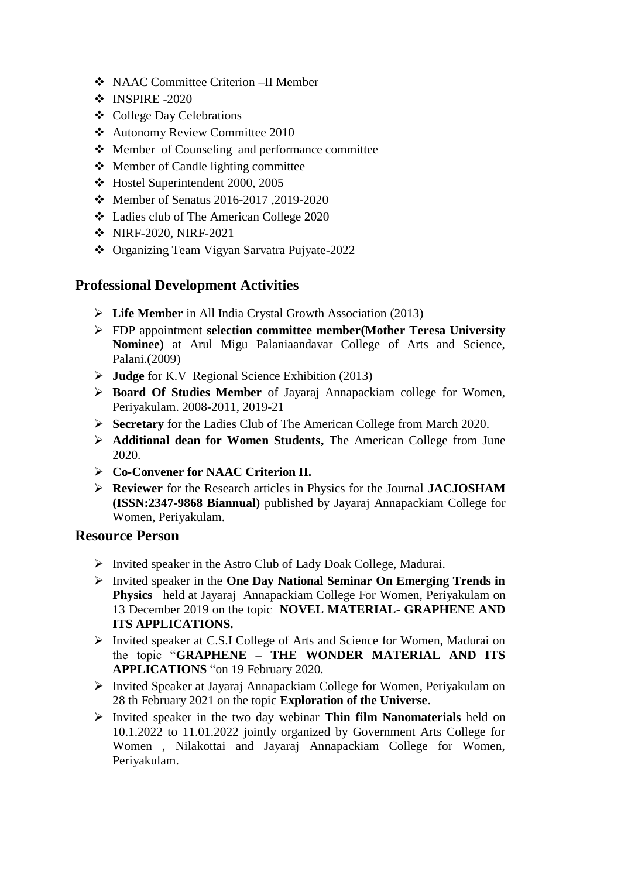- NAAC Committee Criterion –II Member
- $\div$  INSPIRE -2020
- College Day Celebrations
- Autonomy Review Committee 2010
- Member of Counseling and performance committee
- Member of Candle lighting committee
- Hostel Superintendent 2000, 2005
- Member of Senatus 2016-2017 ,2019-2020
- Ladies club of The American College 2020
- NIRF-2020, NIRF-2021
- Organizing Team Vigyan Sarvatra Pujyate-2022

### **Professional Development Activities**

- **Life Member** in All India Crystal Growth Association (2013)
- FDP appointment **selection committee member(Mother Teresa University Nominee)** at Arul Migu Palaniaandavar College of Arts and Science, Palani.(2009)
- **Judge** for K.V Regional Science Exhibition (2013)
- **Board Of Studies Member** of Jayaraj Annapackiam college for Women, Periyakulam. 2008-2011, 2019-21
- **Secretary** for the Ladies Club of The American College from March 2020.
- **Additional dean for Women Students,** The American College from June 2020.
- **Co-Convener for NAAC Criterion II.**
- **Reviewer** for the Research articles in Physics for the Journal **JACJOSHAM (ISSN:2347-9868 Biannual)** published by Jayaraj Annapackiam College for Women, Periyakulam.

#### **Resource Person**

- $\triangleright$  Invited speaker in the Astro Club of Lady Doak College, Madurai.
- Invited speaker in the **One Day National Seminar On Emerging Trends in Physics** held at Jayaraj Annapackiam College For Women, Periyakulam on 13 December 2019 on the topic **NOVEL MATERIAL- GRAPHENE AND ITS APPLICATIONS.**
- Invited speaker at C.S.I College of Arts and Science for Women, Madurai on the topic "**GRAPHENE – THE WONDER MATERIAL AND ITS APPLICATIONS** "on 19 February 2020.
- Invited Speaker at Jayaraj Annapackiam College for Women, Periyakulam on 28 th February 2021 on the topic **Exploration of the Universe**.
- Invited speaker in the two day webinar **Thin film Nanomaterials** held on 10.1.2022 to 11.01.2022 jointly organized by Government Arts College for Women , Nilakottai and Jayaraj Annapackiam College for Women, Periyakulam.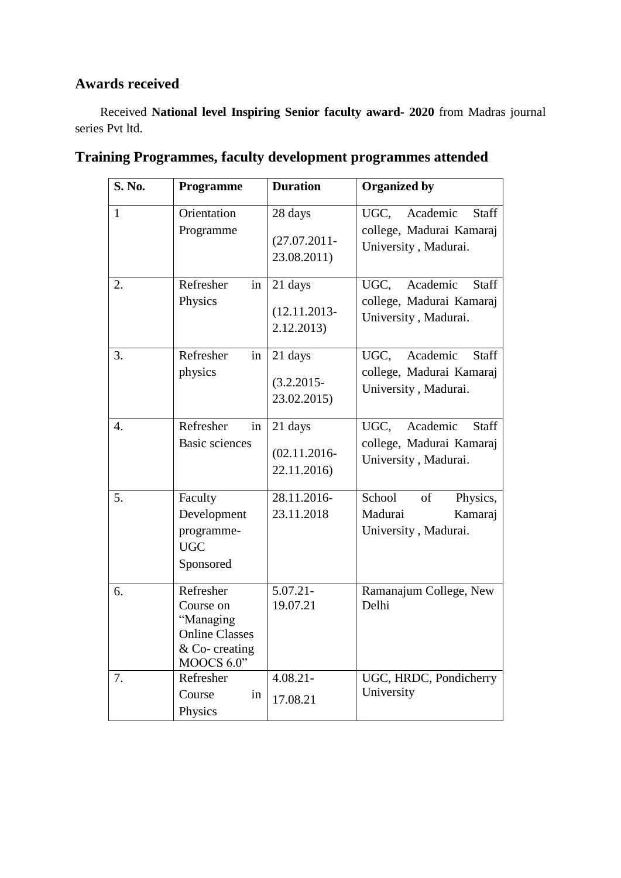### **Awards received**

 Received **National level Inspiring Senior faculty award- 2020** from Madras journal series Pvt ltd.

| <b>S. No.</b>    | Programme                                                                                      | <b>Duration</b>                           | <b>Organized by</b>                                                           |
|------------------|------------------------------------------------------------------------------------------------|-------------------------------------------|-------------------------------------------------------------------------------|
| $\mathbf{1}$     | Orientation<br>Programme                                                                       | 28 days<br>$(27.07.2011 -$<br>23.08.2011) | UGC, Academic<br>Staff<br>college, Madurai Kamaraj<br>University, Madurai.    |
| 2.               | Refresher<br>in<br>Physics                                                                     | 21 days<br>$(12.11.2013 -$<br>2.12.2013)  | Academic<br>UGC.<br>Staff<br>college, Madurai Kamaraj<br>University, Madurai. |
| 3.               | Refresher<br>in<br>physics                                                                     | 21 days<br>$(3.2.2015 -$<br>23.02.2015)   | UGC.<br>Academic<br>Staff<br>college, Madurai Kamaraj<br>University, Madurai. |
| $\overline{4}$ . | Refresher<br>in<br><b>Basic sciences</b>                                                       | 21 days<br>$(02.11.2016 -$<br>22.11.2016) | UGC,<br>Academic<br>Staff<br>college, Madurai Kamaraj<br>University, Madurai. |
| 5.               | Faculty<br>Development<br>programme-<br><b>UGC</b><br>Sponsored                                | 28.11.2016-<br>23.11.2018                 | School<br>of<br>Physics,<br>Madurai<br>Kamaraj<br>University, Madurai.        |
| 6.               | Refresher<br>Course on<br>"Managing<br><b>Online Classes</b><br>$& Co- creating$<br>MOOCS 6.0" | $\overline{5.07.21}$<br>19.07.21          | Ramanajum College, New<br>Delhi                                               |
| 7.               | Refresher<br>Course<br>in<br>Physics                                                           | $4.08.21 -$<br>17.08.21                   | UGC, HRDC, Pondicherry<br>University                                          |

# **Training Programmes, faculty development programmes attended**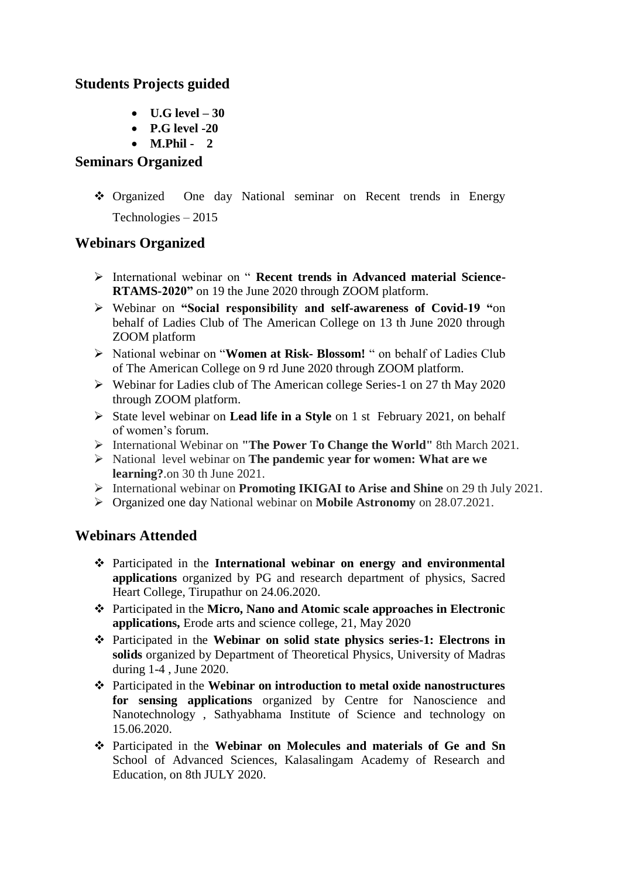### **Students Projects guided**

- **U.G level – 30**
- **P.G level -20**
- **M.Phil 2**

#### **Seminars Organized**

 Organized One day National seminar on Recent trends in Energy Technologies – 2015

### **Webinars Organized**

- International webinar on " **Recent trends in Advanced material Science-RTAMS-2020"** on 19 the June 2020 through ZOOM platform.
- Webinar on **"Social responsibility and self-awareness of Covid-19 "**on behalf of Ladies Club of The American College on 13 th June 2020 through ZOOM platform
- National webinar on "**Women at Risk- Blossom!** " on behalf of Ladies Club of The American College on 9 rd June 2020 through ZOOM platform.
- Webinar for Ladies club of The American college Series-1 on 27 th May 2020 through ZOOM platform.
- State level webinar on **Lead life in a Style** on 1 st February 2021, on behalf of women's forum.
- International Webinar on **"The Power To Change the World"** 8th March 2021.
- National level webinar on **The pandemic year for women: What are we learning?**.on 30 th June 2021.
- International webinar on **Promoting IKIGAI to Arise and Shine** on 29 th July 2021.
- Organized one day National webinar on **Mobile Astronomy** on 28.07.2021.

### **Webinars Attended**

- Participated in the **International webinar on energy and environmental applications** organized by PG and research department of physics, Sacred Heart College, Tirupathur on 24.06.2020.
- Participated in the **Micro, Nano and Atomic scale approaches in Electronic applications,** Erode arts and science college, 21, May 2020
- Participated in the **Webinar on solid state physics series-1: Electrons in solids** organized by Department of Theoretical Physics, University of Madras during 1-4 , June 2020.
- Participated in the **Webinar on introduction to metal oxide nanostructures for sensing applications** organized by Centre for Nanoscience and Nanotechnology , Sathyabhama Institute of Science and technology on 15.06.2020.
- Participated in the **Webinar on Molecules and materials of Ge and Sn** School of Advanced Sciences, Kalasalingam Academy of Research and Education, on 8th JULY 2020.